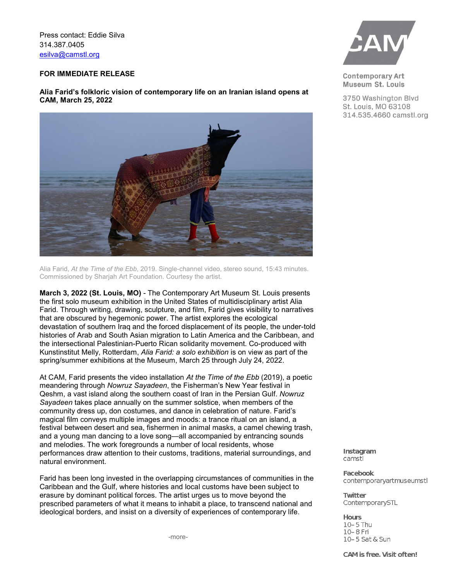Press contact: Eddie Silva 314.387.0405 [esilva@camstl.org](mailto:esilva@camstl.org)

## **FOR IMMEDIATE RELEASE**

**Alia Farid's folkloric vision of contemporary life on an Iranian island opens at CAM, March 25, 2022**



Alia Farid, *At the Time of the Ebb*, 2019. Single-channel video, stereo sound, 15:43 minutes. Commissioned by Sharjah Art Foundation. Courtesy the artist.

**March 3, 2022 (St. Louis, MO)** - The Contemporary Art Museum St. Louis presents the first solo museum exhibition in the United States of multidisciplinary artist Alia Farid. Through writing, drawing, sculpture, and film, Farid gives visibility to narratives that are obscured by hegemonic power. The artist explores the ecological devastation of southern Iraq and the forced displacement of its people, the under-told histories of Arab and South Asian migration to Latin America and the Caribbean, and the intersectional Palestinian-Puerto Rican solidarity movement. Co-produced with Kunstinstitut Melly, Rotterdam, *Alia Farid: a solo exhibition* is on view as part of the spring/summer exhibitions at the Museum, March 25 through July 24, 2022.

At CAM, Farid presents the video installation *At the Time of the Ebb* (2019), a poetic meandering through *Nowruz Sayadeen*, the Fisherman's New Year festival in Qeshm, a vast island along the southern coast of Iran in the Persian Gulf. *Nowruz Sayadeen* takes place annually on the summer solstice, when members of the community dress up, don costumes, and dance in celebration of nature. Farid's magical film conveys multiple images and moods: a trance ritual on an island, a festival between desert and sea, fishermen in animal masks, a camel chewing trash, and a young man dancing to a love song—all accompanied by entrancing sounds and melodies. The work foregrounds a number of local residents, whose performances draw attention to their customs, traditions, material surroundings, and natural environment.

Farid has been long invested in the overlapping circumstances of communities in the Caribbean and the Gulf, where histories and local customs have been subject to erasure by dominant political forces. The artist urges us to move beyond the prescribed parameters of what it means to inhabit a place, to transcend national and ideological borders, and insist on a diversity of experiences of contemporary life.

-more-



**Contemporary Art** Museum St. Louis

3750 Washington Blvd St. Louis, MO 63108 314.535.4660 camstl.org

Instagram camstl

**Facebook** contemporaryartmuseumstl

**Twitter** ContemporarySTL

**Hours** 10-5 Thu 10-8 Fri 10-5 Sat & Sun

CAM is free. Visit often!